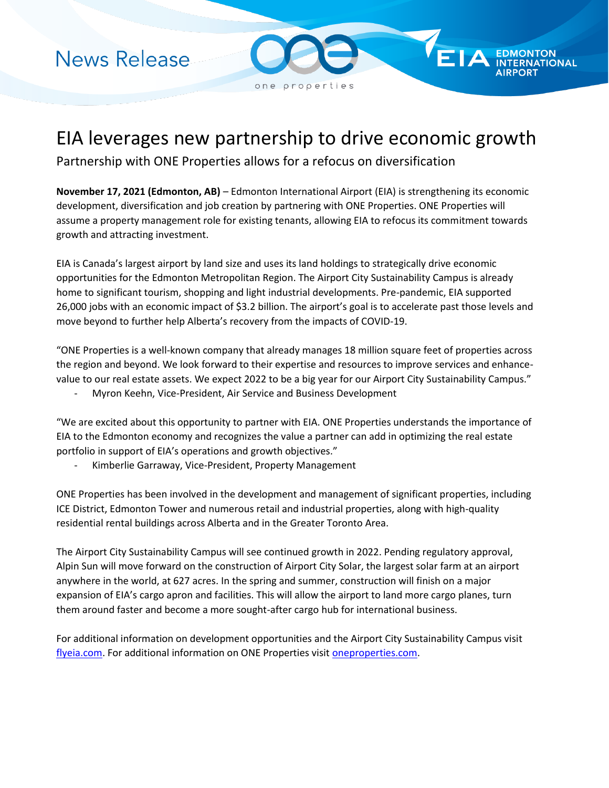**News Release** 

one properties

## EIA leverages new partnership to drive economic growth

Partnership with ONE Properties allows for a refocus on diversification

**November 17, 2021 (Edmonton, AB)** – Edmonton International Airport (EIA) is strengthening its economic development, diversification and job creation by partnering with ONE Properties. ONE Properties will assume a property management role for existing tenants, allowing EIA to refocus its commitment towards growth and attracting investment.

EIA is Canada's largest airport by land size and uses its land holdings to strategically drive economic opportunities for the Edmonton Metropolitan Region. The Airport City Sustainability Campus is already home to significant tourism, shopping and light industrial developments. Pre-pandemic, EIA supported 26,000 jobs with an economic impact of \$3.2 billion. The airport's goal is to accelerate past those levels and move beyond to further help Alberta's recovery from the impacts of COVID-19.

"ONE Properties is a well-known company that already manages 18 million square feet of properties across the region and beyond. We look forward to their expertise and resources to improve services and enhancevalue to our real estate assets. We expect 2022 to be a big year for our Airport City Sustainability Campus."

Myron Keehn, Vice-President, Air Service and Business Development

"We are excited about this opportunity to partner with EIA. ONE Properties understands the importance of EIA to the Edmonton economy and recognizes the value a partner can add in optimizing the real estate portfolio in support of EIA's operations and growth objectives."

Kimberlie Garraway, Vice-President, Property Management

ONE Properties has been involved in the development and management of significant properties, including ICE District, Edmonton Tower and numerous retail and industrial properties, along with high-quality residential rental buildings across Alberta and in the Greater Toronto Area.

The Airport City Sustainability Campus will see continued growth in 2022. Pending regulatory approval, Alpin Sun will move forward on the construction of Airport City Solar, the largest solar farm at an airport anywhere in the world, at 627 acres. In the spring and summer, construction will finish on a major expansion of EIA's cargo apron and facilities. This will allow the airport to land more cargo planes, turn them around faster and become a more sought-after cargo hub for international business.

For additional information on development opportunities and the Airport City Sustainability Campus visit [flyeia.com.](http://www.flyeia.com/) For additional information on ONE Properties visit [oneproperties.com.](https://oneproperties.com/)